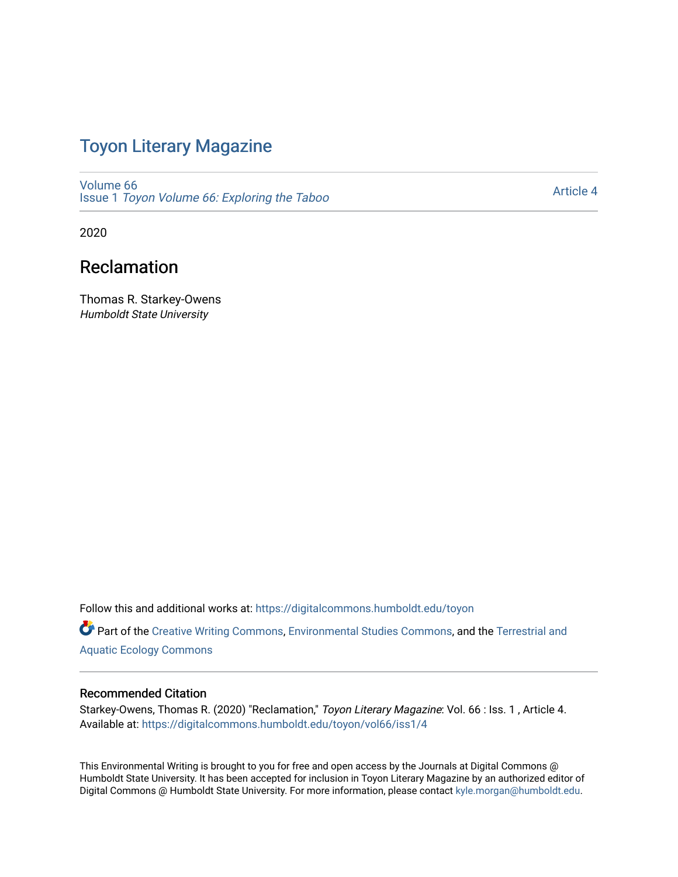# Toyon Literary Magazine

[Volume 66](https://digitalcommons.humboldt.edu/toyon/vol66) Issue 1 [Toyon Volume 66: Exploring the Taboo](https://digitalcommons.humboldt.edu/toyon/vol66/iss1) 

[Article 4](https://digitalcommons.humboldt.edu/toyon/vol66/iss1/4) 

2020

# Reclamation

Thomas R. Starkey-Owens Humboldt State University

Follow this and additional works at: [https://digitalcommons.humboldt.edu/toyon](https://digitalcommons.humboldt.edu/toyon?utm_source=digitalcommons.humboldt.edu%2Ftoyon%2Fvol66%2Fiss1%2F4&utm_medium=PDF&utm_campaign=PDFCoverPages)

Part of the [Creative Writing Commons](http://network.bepress.com/hgg/discipline/574?utm_source=digitalcommons.humboldt.edu%2Ftoyon%2Fvol66%2Fiss1%2F4&utm_medium=PDF&utm_campaign=PDFCoverPages), [Environmental Studies Commons](http://network.bepress.com/hgg/discipline/1333?utm_source=digitalcommons.humboldt.edu%2Ftoyon%2Fvol66%2Fiss1%2F4&utm_medium=PDF&utm_campaign=PDFCoverPages), and the [Terrestrial and](http://network.bepress.com/hgg/discipline/20?utm_source=digitalcommons.humboldt.edu%2Ftoyon%2Fvol66%2Fiss1%2F4&utm_medium=PDF&utm_campaign=PDFCoverPages) [Aquatic Ecology Commons](http://network.bepress.com/hgg/discipline/20?utm_source=digitalcommons.humboldt.edu%2Ftoyon%2Fvol66%2Fiss1%2F4&utm_medium=PDF&utm_campaign=PDFCoverPages)

#### Recommended Citation

Starkey-Owens, Thomas R. (2020) "Reclamation," Toyon Literary Magazine: Vol. 66 : Iss. 1 , Article 4. Available at: [https://digitalcommons.humboldt.edu/toyon/vol66/iss1/4](https://digitalcommons.humboldt.edu/toyon/vol66/iss1/4?utm_source=digitalcommons.humboldt.edu%2Ftoyon%2Fvol66%2Fiss1%2F4&utm_medium=PDF&utm_campaign=PDFCoverPages)

This Environmental Writing is brought to you for free and open access by the Journals at Digital Commons @ Humboldt State University. It has been accepted for inclusion in Toyon Literary Magazine by an authorized editor of Digital Commons @ Humboldt State University. For more information, please contact [kyle.morgan@humboldt.edu](mailto:kyle.morgan@humboldt.edu).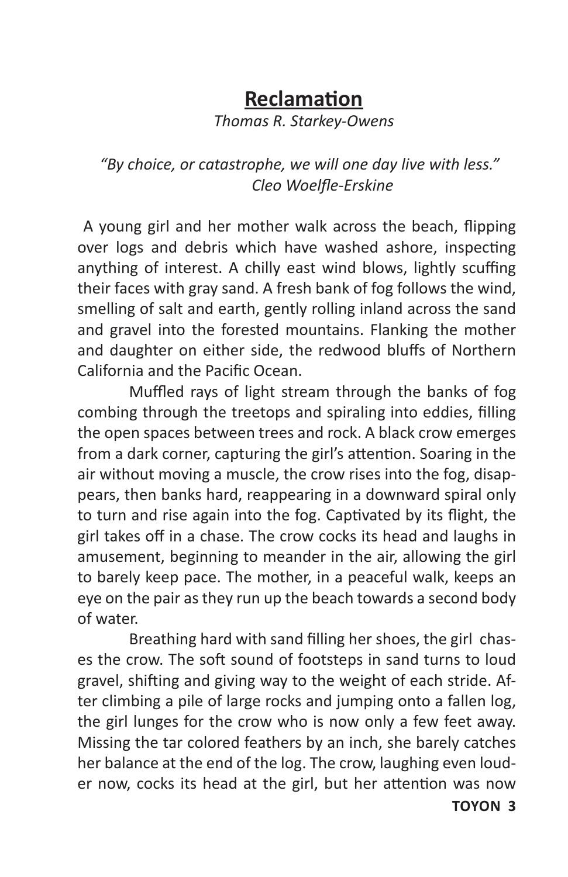## **Reclamation**

*Thomas R. Starkey-Owens*

### *"By choice, or catastrophe, we will one day live with less." Cleo Woelfle-Erskine*

 A young girl and her mother walk across the beach, flipping over logs and debris which have washed ashore, inspecting anything of interest. A chilly east wind blows, lightly scuffing their faces with gray sand. A fresh bank of fog follows the wind, smelling of salt and earth, gently rolling inland across the sand and gravel into the forested mountains. Flanking the mother and daughter on either side, the redwood bluffs of Northern California and the Pacific Ocean.

Muffled rays of light stream through the banks of fog combing through the treetops and spiraling into eddies, filling the open spaces between trees and rock. A black crow emerges from a dark corner, capturing the girl's attention. Soaring in the air without moving a muscle, the crow rises into the fog, disappears, then banks hard, reappearing in a downward spiral only to turn and rise again into the fog. Captivated by its flight, the girl takes off in a chase. The crow cocks its head and laughs in amusement, beginning to meander in the air, allowing the girl to barely keep pace. The mother, in a peaceful walk, keeps an eye on the pair as they run up the beach towards a second body of water.

Breathing hard with sand filling her shoes, the girl chases the crow. The soft sound of footsteps in sand turns to loud gravel, shifting and giving way to the weight of each stride. After climbing a pile of large rocks and jumping onto a fallen log, the girl lunges for the crow who is now only a few feet away. Missing the tar colored feathers by an inch, she barely catches her balance at the end of the log. The crow, laughing even louder now, cocks its head at the girl, but her attention was now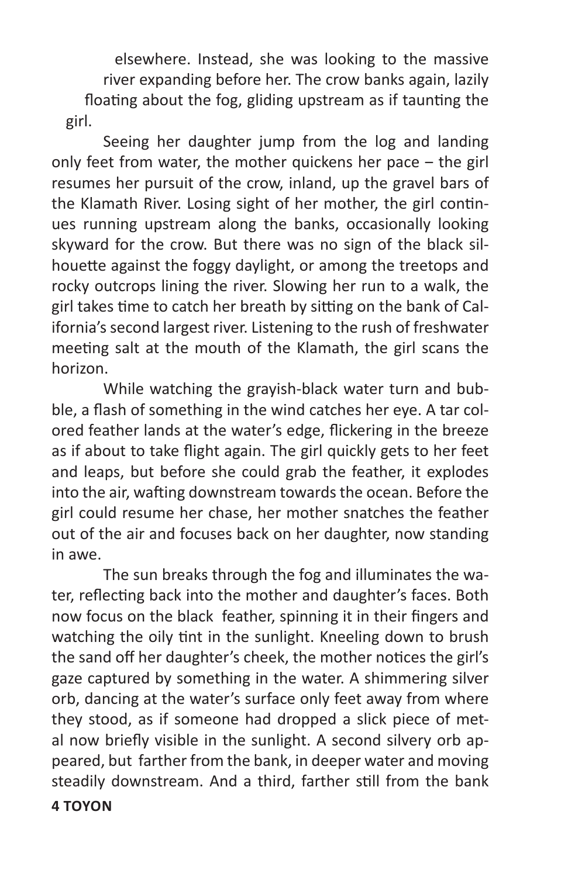elsewhere. Instead, she was looking to the massive river expanding before her. The crow banks again, lazily floating about the fog, gliding upstream as if taunting the girl.

Seeing her daughter jump from the log and landing only feet from water, the mother quickens her pace  $-$  the girl resumes her pursuit of the crow, inland, up the gravel bars of the Klamath River. Losing sight of her mother, the girl continues running upstream along the banks, occasionally looking skyward for the crow. But there was no sign of the black silhouette against the foggy daylight, or among the treetops and rocky outcrops lining the river. Slowing her run to a walk, the girl takes time to catch her breath by sitting on the bank of California's second largest river. Listening to the rush of freshwater meeting salt at the mouth of the Klamath, the girl scans the horizon.

While watching the grayish-black water turn and bubble, a flash of something in the wind catches her eye. A tar colored feather lands at the water's edge, flickering in the breeze as if about to take flight again. The girl quickly gets to her feet and leaps, but before she could grab the feather, it explodes into the air, wafting downstream towards the ocean. Before the girl could resume her chase, her mother snatches the feather out of the air and focuses back on her daughter, now standing in awe.

**4 TOYON**  The sun breaks through the fog and illuminates the water, reflecting back into the mother and daughter's faces. Both now focus on the black feather, spinning it in their fingers and watching the oily tint in the sunlight. Kneeling down to brush the sand off her daughter's cheek, the mother notices the girl's gaze captured by something in the water. A shimmering silver orb, dancing at the water's surface only feet away from where they stood, as if someone had dropped a slick piece of metal now briefly visible in the sunlight. A second silvery orb appeared, but farther from the bank, in deeper water and moving steadily downstream. And a third, farther still from the bank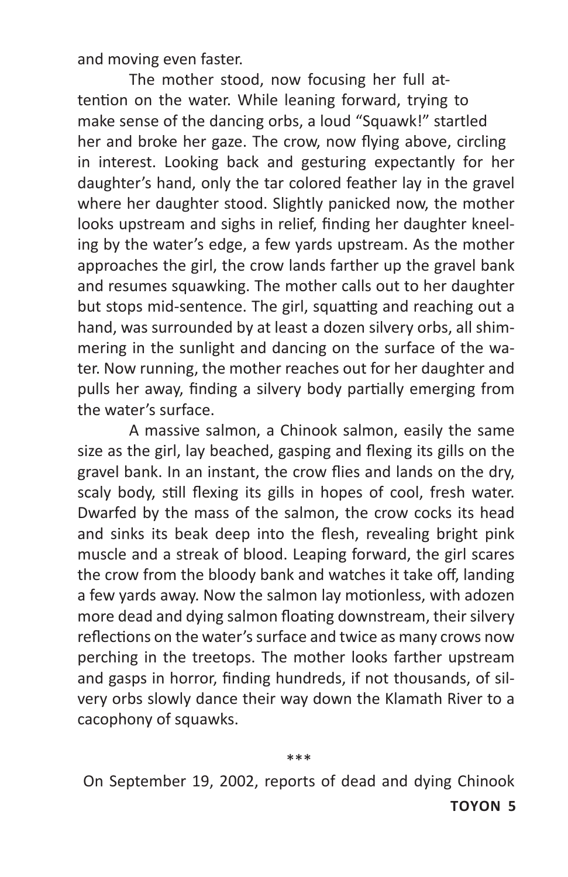and moving even faster.

The mother stood, now focusing her full attention on the water. While leaning forward, trying to make sense of the dancing orbs, a loud "Squawk!" startled her and broke her gaze. The crow, now flying above, circling in interest. Looking back and gesturing expectantly for her daughter's hand, only the tar colored feather lay in the gravel where her daughter stood. Slightly panicked now, the mother looks upstream and sighs in relief, finding her daughter kneeling by the water's edge, a few yards upstream. As the mother approaches the girl, the crow lands farther up the gravel bank and resumes squawking. The mother calls out to her daughter but stops mid-sentence. The girl, squatting and reaching out a hand, was surrounded by at least a dozen silvery orbs, all shimmering in the sunlight and dancing on the surface of the water. Now running, the mother reaches out for her daughter and pulls her away, finding a silvery body partially emerging from the water's surface.

A massive salmon, a Chinook salmon, easily the same size as the girl, lay beached, gasping and flexing its gills on the gravel bank. In an instant, the crow flies and lands on the dry, scaly body, still flexing its gills in hopes of cool, fresh water. Dwarfed by the mass of the salmon, the crow cocks its head and sinks its beak deep into the flesh, revealing bright pink muscle and a streak of blood. Leaping forward, the girl scares the crow from the bloody bank and watches it take off, landing a few yards away. Now the salmon lay motionless, with adozen more dead and dying salmon floating downstream, their silvery reflections on the water's surface and twice as many crows now perching in the treetops. The mother looks farther upstream and gasps in horror, finding hundreds, if not thousands, of silvery orbs slowly dance their way down the Klamath River to a cacophony of squawks.

#### \*\*\*

**TOYON 5** On September 19, 2002, reports of dead and dying Chinook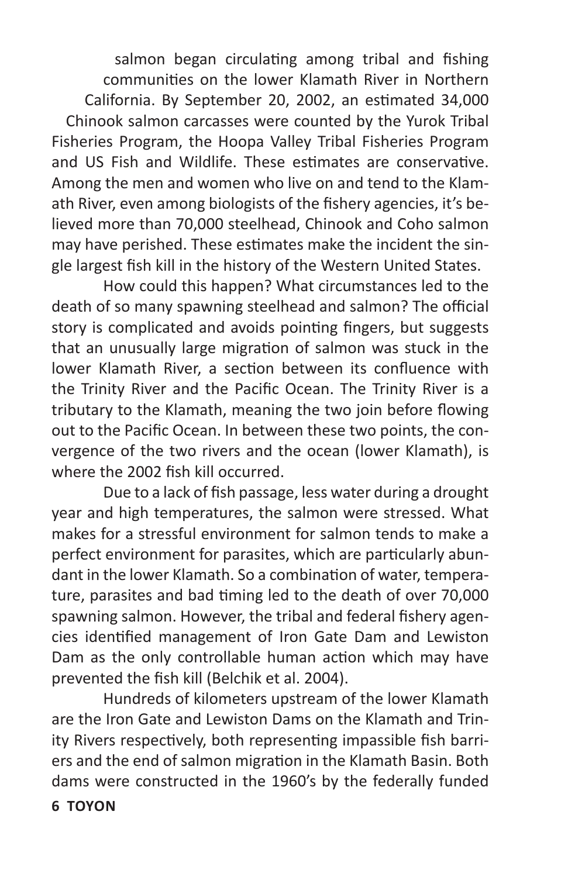salmon began circulating among tribal and fishing communities on the lower Klamath River in Northern California. By September 20, 2002, an estimated 34,000 Chinook salmon carcasses were counted by the Yurok Tribal Fisheries Program, the Hoopa Valley Tribal Fisheries Program and US Fish and Wildlife. These estimates are conservative. Among the men and women who live on and tend to the Klamath River, even among biologists of the fishery agencies, it's believed more than 70,000 steelhead, Chinook and Coho salmon may have perished. These estimates make the incident the single largest fish kill in the history of the Western United States.

How could this happen? What circumstances led to the death of so many spawning steelhead and salmon? The official story is complicated and avoids pointing fingers, but suggests that an unusually large migration of salmon was stuck in the lower Klamath River, a section between its confluence with the Trinity River and the Pacific Ocean. The Trinity River is a tributary to the Klamath, meaning the two join before flowing out to the Pacific Ocean. In between these two points, the convergence of the two rivers and the ocean (lower Klamath), is where the 2002 fish kill occurred.

Due to a lack of fish passage, less water during a drought year and high temperatures, the salmon were stressed. What makes for a stressful environment for salmon tends to make a perfect environment for parasites, which are particularly abundant in the lower Klamath. So a combination of water, temperature, parasites and bad timing led to the death of over 70,000 spawning salmon. However, the tribal and federal fishery agencies identified management of Iron Gate Dam and Lewiston Dam as the only controllable human action which may have prevented the fish kill (Belchik et al. 2004).

**6 TOYON**  Hundreds of kilometers upstream of the lower Klamath are the Iron Gate and Lewiston Dams on the Klamath and Trinity Rivers respectively, both representing impassible fish barriers and the end of salmon migration in the Klamath Basin. Both dams were constructed in the 1960's by the federally funded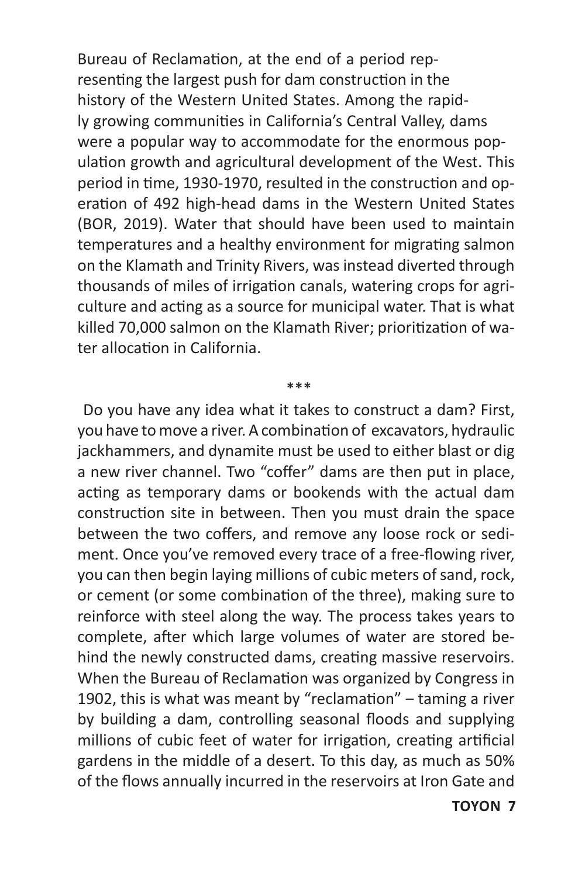Bureau of Reclamation, at the end of a period representing the largest push for dam construction in the history of the Western United States. Among the rapidly growing communities in California's Central Valley, dams were a popular way to accommodate for the enormous population growth and agricultural development of the West. This period in time, 1930-1970, resulted in the construction and operation of 492 high-head dams in the Western United States (BOR, 2019). Water that should have been used to maintain temperatures and a healthy environment for migrating salmon on the Klamath and Trinity Rivers, was instead diverted through thousands of miles of irrigation canals, watering crops for agriculture and acting as a source for municipal water. That is what killed 70,000 salmon on the Klamath River; prioritization of water allocation in California.

\*\*\*

Do you have any idea what it takes to construct a dam? First, you have to move a river. A combination of excavators, hydraulic jackhammers, and dynamite must be used to either blast or dig a new river channel. Two "coffer" dams are then put in place, acting as temporary dams or bookends with the actual dam construction site in between. Then you must drain the space between the two coffers, and remove any loose rock or sediment. Once you've removed every trace of a free-flowing river, you can then begin laying millions of cubic meters of sand, rock, or cement (or some combination of the three), making sure to reinforce with steel along the way. The process takes years to complete, after which large volumes of water are stored behind the newly constructed dams, creating massive reservoirs. When the Bureau of Reclamation was organized by Congress in 1902, this is what was meant by "reclamation"  $-$  taming a river by building a dam, controlling seasonal floods and supplying millions of cubic feet of water for irrigation, creating artificial gardens in the middle of a desert. To this day, as much as 50% of the flows annually incurred in the reservoirs at Iron Gate and

**TOYON 7**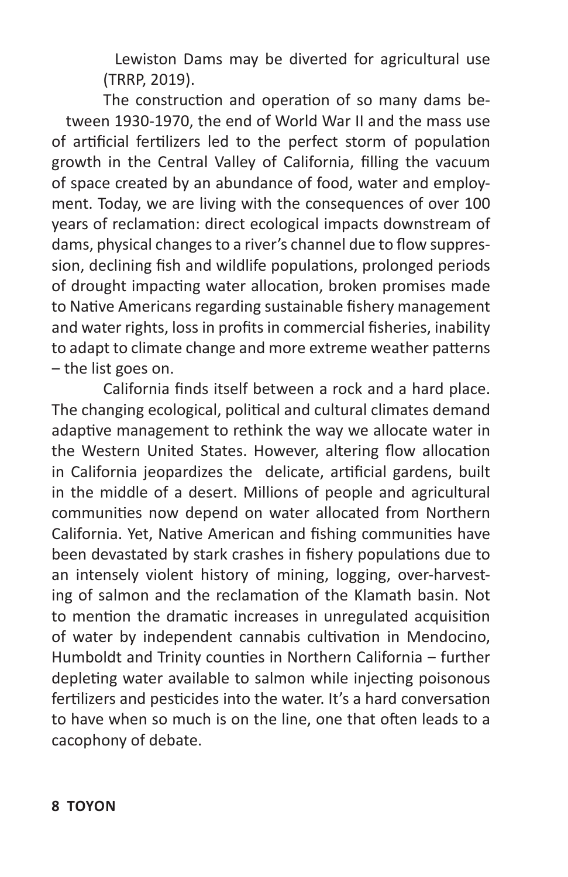Lewiston Dams may be diverted for agricultural use (TRRP, 2019).

The construction and operation of so many dams between 1930-1970, the end of World War II and the mass use of artificial fertilizers led to the perfect storm of population growth in the Central Valley of California, filling the vacuum of space created by an abundance of food, water and employment. Today, we are living with the consequences of over 100 years of reclamation: direct ecological impacts downstream of dams, physical changes to a river's channel due to flow suppression, declining fish and wildlife populations, prolonged periods of drought impacting water allocation, broken promises made to Native Americans regarding sustainable fishery management and water rights, loss in profits in commercial fisheries, inability to adapt to climate change and more extreme weather patterns ‒ the list goes on.

California finds itself between a rock and a hard place. The changing ecological, political and cultural climates demand adaptive management to rethink the way we allocate water in the Western United States. However, altering flow allocation in California jeopardizes the delicate, artificial gardens, built in the middle of a desert. Millions of people and agricultural communities now depend on water allocated from Northern California. Yet, Native American and fishing communities have been devastated by stark crashes in fishery populations due to an intensely violent history of mining, logging, over-harvesting of salmon and the reclamation of the Klamath basin. Not to mention the dramatic increases in unregulated acquisition of water by independent cannabis cultivation in Mendocino, Humboldt and Trinity counties in Northern California – further depleting water available to salmon while injecting poisonous fertilizers and pesticides into the water. It's a hard conversation to have when so much is on the line, one that often leads to a cacophony of debate.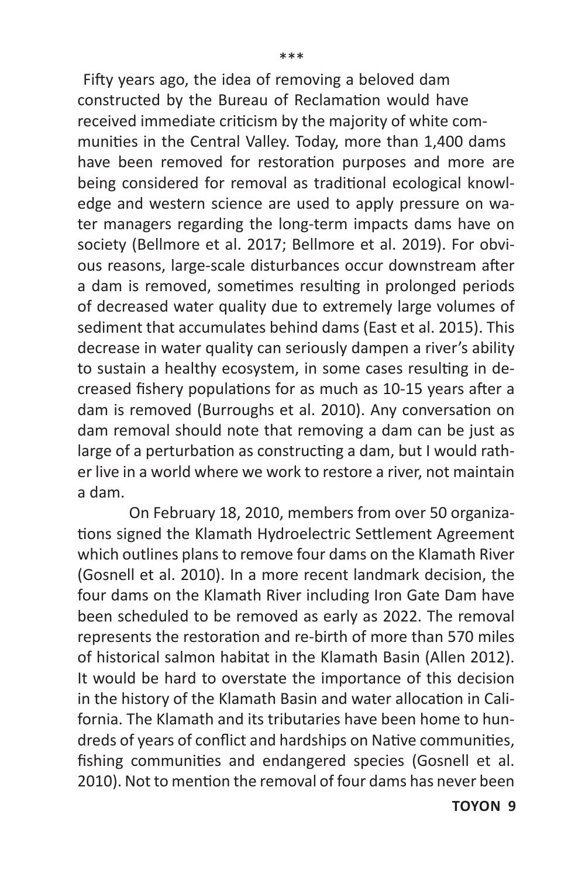Fifty years ago, the idea of removing a beloved dam constructed by the Bureau of Reclamation would have received immediate criticism by the majority of white communities in the Central Valley. Today, more than 1,400 dams have been removed for restoration purposes and more are being considered for removal as traditional ecological knowledge and western science are used to apply pressure on water managers regarding the long-term impacts dams have on society (Bellmore et al. 2017; Bellmore et al. 2019). For obvious reasons, large-scale disturbances occur downstream after a dam is removed, sometimes resulting in prolonged periods of decreased water quality due to extremely large volumes of sediment that accumulates behind dams (East et al. 2015). This decrease in water quality can seriously dampen a river's ability to sustain a healthy ecosystem, in some cases resulting in decreased fishery populations for as much as 10-15 years after a dam is removed (Burroughs et al. 2010). Any conversation on dam removal should note that removing a dam can be just as large of a perturbation as constructing a dam, but I would rather live in a world where we work to restore a river, not maintain a dam.

On February 18, 2010, members from over 50 organizations signed the Klamath Hydroelectric Settlement Agreement which outlines plans to remove four dams on the Klamath River (Gosnell et al. 2010). In a more recent landmark decision, the four dams on the Klamath River including Iron Gate Dam have been scheduled to be removed as early as 2022. The removal represents the restoration and re-birth of more than 570 miles of historical salmon habitat in the Klamath Basin (Allen 2012). It would be hard to overstate the importance of this decision in the history of the Klamath Basin and water allocation in California. The Klamath and its tributaries have been home to hundreds of years of conflict and hardships on Native communities, fishing communities and endangered species (Gosnell et al. 2010). Not to mention the removal of four dams has never been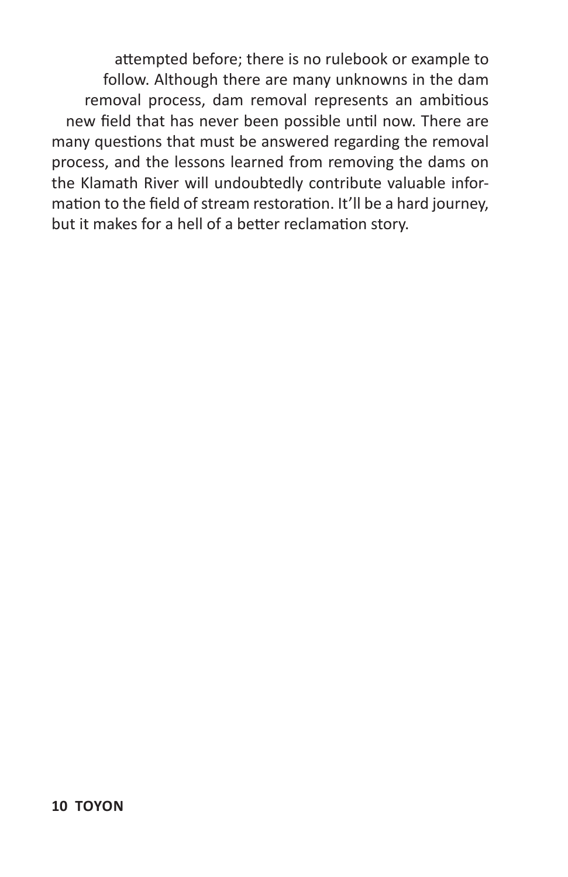attempted before; there is no rulebook or example to follow. Although there are many unknowns in the dam removal process, dam removal represents an ambitious new field that has never been possible until now. There are many questions that must be answered regarding the removal process, and the lessons learned from removing the dams on the Klamath River will undoubtedly contribute valuable information to the field of stream restoration. It'll be a hard journey, but it makes for a hell of a better reclamation story.